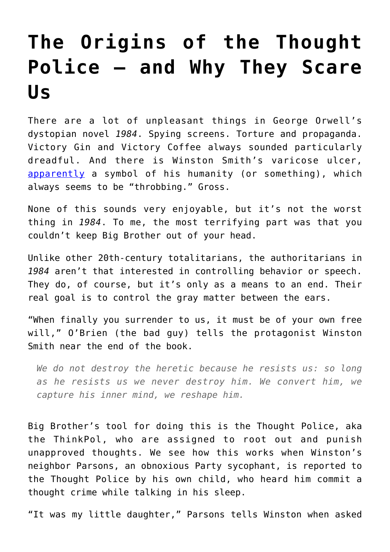# **[The Origins of the Thought](https://intellectualtakeout.org/2019/11/the-origins-of-the-thought-police-and-why-they-scare-us/) [Police – and Why They Scare](https://intellectualtakeout.org/2019/11/the-origins-of-the-thought-police-and-why-they-scare-us/) [Us](https://intellectualtakeout.org/2019/11/the-origins-of-the-thought-police-and-why-they-scare-us/)**

There are a lot of unpleasant things in George Orwell's dystopian novel *1984*. Spying screens. Torture and propaganda. Victory Gin and Victory Coffee always sounded particularly dreadful. And there is Winston Smith's varicose ulcer, [apparently](https://www.homework-online.com/1984/symbols.html) a symbol of his humanity (or something), which always seems to be "throbbing." Gross.

None of this sounds very enjoyable, but it's not the worst thing in *1984*. To me, the most terrifying part was that you couldn't keep Big Brother out of your head.

Unlike other 20th-century totalitarians, the authoritarians in *1984* aren't that interested in controlling behavior or speech. They do, of course, but it's only as a means to an end. Their real goal is to control the gray matter between the ears.

"When finally you surrender to us, it must be of your own free will," O'Brien (the bad guy) tells the protagonist Winston Smith near the end of the book.

*We do not destroy the heretic because he resists us: so long as he resists us we never destroy him. We convert him, we capture his inner mind, we reshape him.*

Big Brother's tool for doing this is the Thought Police, aka the ThinkPol, who are assigned to root out and punish unapproved thoughts. We see how this works when Winston's neighbor Parsons, an obnoxious Party sycophant, is reported to the Thought Police by his own child, who heard him commit a thought crime while talking in his sleep.

"It was my little daughter," Parsons tells Winston when asked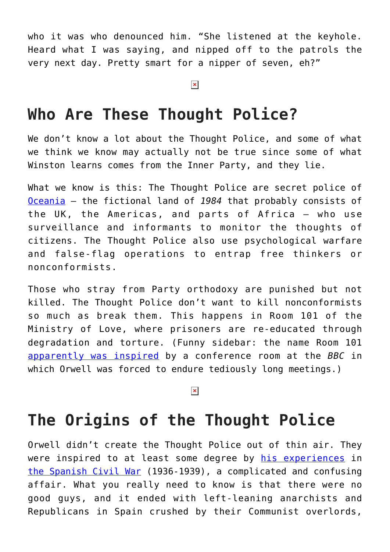who it was who denounced him. "She listened at the keyhole. Heard what I was saying, and nipped off to the patrols the very next day. Pretty smart for a nipper of seven, eh?"

#### $\pmb{\times}$

### **Who Are These Thought Police?**

We don't know a lot about the Thought Police, and some of what we think we know may actually not be true since some of what Winston learns comes from the Inner Party, and they lie.

What we know is this: The Thought Police are secret police of [Oceania](https://bigthink.com/strange-maps/66-the-world-in-george-orwells-1984) – the fictional land of *1984* that probably consists of the UK, the Americas, and parts of Africa – who use surveillance and informants to monitor the thoughts of citizens. The Thought Police also use psychological warfare and false-flag operations to entrap free thinkers or nonconformists.

Those who stray from Party orthodoxy are punished but not killed. The Thought Police don't want to kill nonconformists so much as break them. This happens in Room 101 of the Ministry of Love, where prisoners are re-educated through degradation and torture. (Funny sidebar: the name Room 101 [apparently was inspired](https://www.thevintagenews.com/2017/02/07/room-101-the-torture-chamber-in-george-orwells-1984-was-named-after-a-conference-room-at-the-bbc-where-orwell-would-have-to-sit-through-tortuously-boring-meetings/) by a conference room at the *BBC* in which Orwell was forced to endure tediously long meetings.)

### $\pmb{\times}$

### **The Origins of the Thought Police**

Orwell didn't create the Thought Police out of thin air. They were inspired to at least some degree by [his experiences](https://www.vqronline.org/essay/orwell-trenches) in [the Spanish Civil War](https://en.wikipedia.org/wiki/Spanish_Civil_War) (1936-1939), a complicated and confusing affair. What you really need to know is that there were no good guys, and it ended with left-leaning anarchists and Republicans in Spain crushed by their Communist overlords,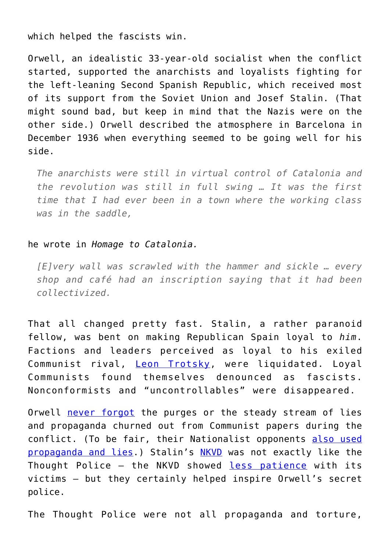which helped the fascists win.

Orwell, an idealistic 33-year-old socialist when the conflict started, supported the anarchists and loyalists fighting for the left-leaning Second Spanish Republic, which received most of its support from the Soviet Union and Josef Stalin. (That might sound bad, but keep in mind that the Nazis were on the other side.) Orwell described the atmosphere in Barcelona in December 1936 when everything seemed to be going well for his side.

*The anarchists were still in virtual control of Catalonia and the revolution was still in full swing … It was the first time that I had ever been in a town where the working class was in the saddle,*

#### he wrote in *Homage to Catalonia.*

*[E]very wall was scrawled with the hammer and sickle … every shop and café had an inscription saying that it had been collectivized.*

That all changed pretty fast. Stalin, a rather paranoid fellow, was bent on making Republican Spain loyal to *him*. Factions and leaders perceived as loyal to his exiled Communist rival, [Leon Trotsky](https://en.wikipedia.org/wiki/Leon_Trotsky), were liquidated. Loyal Communists found themselves denounced as fascists. Nonconformists and "uncontrollables" were disappeared.

Orwell [never forgot](https://www.jacobinmag.com/2017/05/george-orwell-spain-barcelona-may-days) the purges or the steady stream of lies and propaganda churned out from Communist papers during the conflict. (To be fair, their Nationalist opponents [also used](https://digitalcommons.asphs.net/cgi/viewcontent.cgi?article=1055&context=bsphs) [propaganda and lies.](https://digitalcommons.asphs.net/cgi/viewcontent.cgi?article=1055&context=bsphs)) Stalin's [NKVD](https://en.wikipedia.org/wiki/NKVD) was not exactly like the Thought Police - the NKVD showed [less patience](https://en.wikipedia.org/wiki/Andr%C3%A9s_Nin_P%C3%A9rez) with its victims – but they certainly helped inspire Orwell's secret police.

The Thought Police were not all propaganda and torture,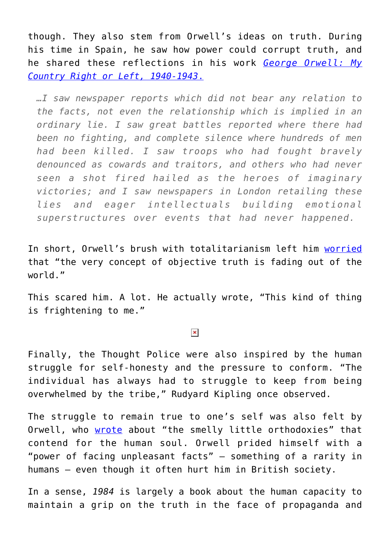though. They also stem from Orwell's ideas on truth. During his time in Spain, he saw how power could corrupt truth, and he shared these reflections in his work *[George Orwell: My](https://amzn.to/350bnxW) [Country Right or Left, 1940-1943](https://amzn.to/350bnxW)*[.](https://amzn.to/350bnxW)

*…I saw newspaper reports which did not bear any relation to the facts, not even the relationship which is implied in an ordinary lie. I saw great battles reported where there had been no fighting, and complete silence where hundreds of men had been killed. I saw troops who had fought bravely denounced as cowards and traitors, and others who had never seen a shot fired hailed as the heroes of imaginary victories; and I saw newspapers in London retailing these lies and eager intellectuals building emotional superstructures over events that had never happened.*

In short, Orwell's brush with totalitarianism left him [worried](https://books.google.com/books?id=mEgxAJr1REUC&pg=PA258&lpg=PA258&dq=%E2%80%9CThis+kind+of+thing+is+frightening+to+me,+because+it+often+gives+me+the+feeling+that+the+very+concept+of+objective+truth+is+fading+out+of+the+world.+After+all,+the+chances+are+that+those+lies,+or+at+any+rate+similar+lies,+will+pass+into+history&source=bl&ots=sHa3k9NMgq&sig=ACfU3U1wXA_vTYqn4QvULe0KhDEUWkqRYA&hl=en&sa=X&ved=2ahUKEwigjsaS_eflAhXqTN8KHdQPAYYQ6AEwBHoECAcQAQ#v=onepage&q=%E2%80%9CThis%20kind%20of%20thing%20is%20frightening%20to%20me%2C%20because%20it%20often%20gives%20me%20the%20feeling%20that%20the%20very%20concept%20of%20objective%20truth%20is%20fading%20out%20of%20the%20world.%20After%20all%2C%20the%20chances%20are%20that%20those%20lies%2C%20or%20at%20any%20rate%20similar%20lies%2C%20will%20pass%20into%20history&f=false) that "the very concept of objective truth is fading out of the world."

This scared him. A lot. He actually wrote, "This kind of thing is frightening to me."

#### $\pmb{\times}$

Finally, the Thought Police were also inspired by the human struggle for self-honesty and the pressure to conform. "The individual has always had to struggle to keep from being overwhelmed by the tribe," Rudyard Kipling once observed.

The struggle to remain true to one's self was also felt by Orwell, who [wrote](https://books.google.com/books?id=IcyGPLqBi60C&pg=PA14&lpg=PA14&dq=No+one,+at+any+rate+no+English+writer,+has+written+better+about+childhood+than+Dickens.+In+spite+of+all+the+knowledge+that+has+accumulated+since,+in+spite+of+the+fact+that+children+are+now+comparatively+sanely+treated,+no+novelist+has+shown+the+same+power+of+entering+into+the+child%E2%80%99s+point+of+view.+I+must+have+been+about+nine+years+old+when+I+first+read+David+Copperfield.+The+mental+atmosphere+of+the+opening+chapters+was+so+immediately+intelligible+to+me+that+I+vaguely+imagined+they+had+been+written+by+a+child.+And+yet+when+one+re-reads+the+book+as+an+adult+and+sees+the+Murdstones,+for+instance,+dwindle+from+gigantic+figures+of+doom+into+semi-comic+monsters,+these+passages+lose+nothing.+Dickens+has+been+able+to+stand+both+inside+and+outside+the+child%E2%80%99s+mind,+in+such+a+way+that+the+same+scene+can+be+wild+burlesque+or+sinister+reality,+according+to+the+age+at+which+one+reads+it.&source=bl&ots=Qk5I5HbZUQ&sig=ACfU3U3C5BuRIphxtmaTHQGTBlnjZzLZ0A&hl=en&sa=X&ved=2ahUKEwi708XVhOjlAhUB26wKHSDQBZsQ6AEwA3oECAkQAQ#v=onepage&q=smelly&f=false) about "the smelly little orthodoxies" that contend for the human soul. Orwell prided himself with a "power of facing unpleasant facts" – something of a rarity in humans – even though it often hurt him in British society.

In a sense, *1984* is largely a book about the human capacity to maintain a grip on the truth in the face of propaganda and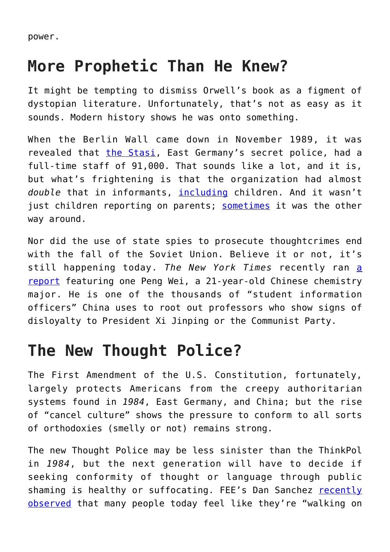power.

### **More Prophetic Than He Knew?**

It might be tempting to dismiss Orwell's book as a figment of dystopian literature. Unfortunately, that's not as easy as it sounds. Modern history shows he was onto something.

When the Berlin Wall came down in November 1989, it was revealed that [the Stasi,](https://en.wikipedia.org/wiki/Stasi) East Germany's secret police, had a full-time staff of 91,000. That sounds like a lot, and it is, but what's frightening is that the organization had almost *double* that in informants, [including](https://www.kiwi-verlag.de/rights/buch/father-mother-stasi-my-life-in-the-web-of-the-surveillance-state/978-3-462-04723-3/) children. And it wasn't just children reporting on parents; [sometimes](https://www.theguardian.com/world/2015/jul/09/the-spies-who-loved-me-my-dad-the-stasi-agent) it was the other way around.

Nor did the use of state spies to prosecute thoughtcrimes end with the fall of the Soviet Union. Believe it or not, it's still happening today. *The New York Times* recently ran [a](https://www.nytimes.com/2019/11/01/world/asia/china-student-informers.html) [report](https://www.nytimes.com/2019/11/01/world/asia/china-student-informers.html) featuring one Peng Wei, a 21-year-old Chinese chemistry major. He is one of the thousands of "student information officers" China uses to root out professors who show signs of disloyalty to President Xi Jinping or the Communist Party.

## **The New Thought Police?**

The First Amendment of the U.S. Constitution, fortunately, largely protects Americans from the creepy authoritarian systems found in *1984*, East Germany, and China; but the rise of "cancel culture" shows the pressure to conform to all sorts of orthodoxies (smelly or not) remains strong.

The new Thought Police may be less sinister than the ThinkPol in *1984*, but the next generation will have to decide if seeking conformity of thought or language through public shaming is healthy or suffocating. FEE's Dan Sanchez [recently](https://fee.org/articles/why-your-favorite-youtuber-probably-hasnt-been-canceled/) [observed](https://fee.org/articles/why-your-favorite-youtuber-probably-hasnt-been-canceled/) that many people today feel like they're "walking on